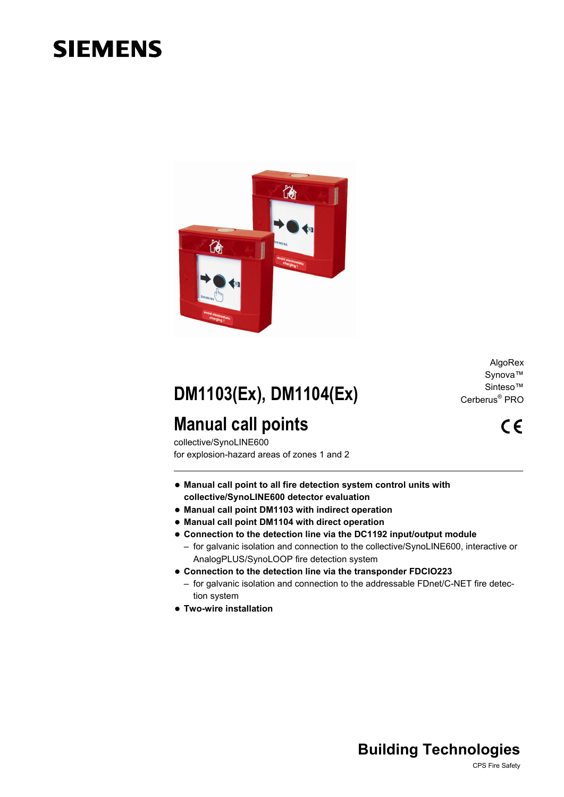# **SIEMENS**



**DM1103(Ex), DM1104(Ex)** 

## **Manual call points**

collective/SynoLINE600 for explosion-hazard areas of zones 1 and 2

- **Manual call point to all fire detection system control units with collective/SynoLINE600 detector evaluation**
- **Manual call point DM1103 with indirect operation**
- **Manual call point DM1104 with direct operation**
- **Connection to the detection line via the DC1192 input/output module** 
	- for galvanic isolation and connection to the collective/SynoLINE600, interactive or AnalogPLUS/SynoLOOP fire detection system
- **Connection to the detection line via the transponder FDCIO223** 
	- for galvanic isolation and connection to the addressable FDnet/C-NET fire detection system
- **Two-wire installation**

AlgoRex Synova™ Sinteso™ Cerberus® PRO

 $C \in$ 

### **Building Technologies**

CPS Fire Safety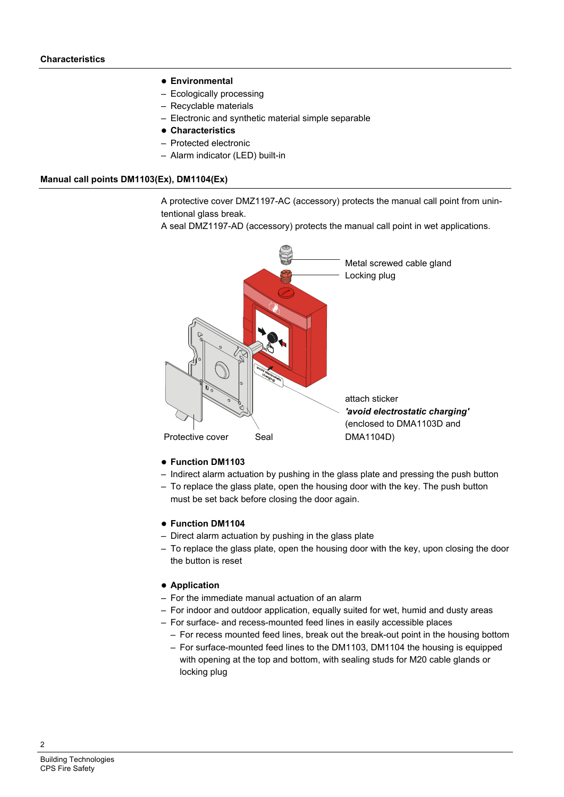#### **Environmental**

- Ecologically processing
- Recyclable materials
- Electronic and synthetic material simple separable
- **Characteristics**
- Protected electronic
- Alarm indicator (LED) built-in

#### **Manual call points DM1103(Ex), DM1104(Ex)**

A protective cover DMZ1197-AC (accessory) protects the manual call point from unintentional glass break.

A seal DMZ1197-AD (accessory) protects the manual call point in wet applications.



#### **Function DM1103**

- Indirect alarm actuation by pushing in the glass plate and pressing the push button
- To replace the glass plate, open the housing door with the key. The push button must be set back before closing the door again.

#### **Function DM1104**

- Direct alarm actuation by pushing in the glass plate
- To replace the glass plate, open the housing door with the key, upon closing the door the button is reset

#### **Application**

- For the immediate manual actuation of an alarm
- For indoor and outdoor application, equally suited for wet, humid and dusty areas
- For surface- and recess-mounted feed lines in easily accessible places
	- For recess mounted feed lines, break out the break-out point in the housing bottom
	- For surface-mounted feed lines to the DM1103, DM1104 the housing is equipped with opening at the top and bottom, with sealing studs for M20 cable glands or locking plug

 $\mathfrak{p}$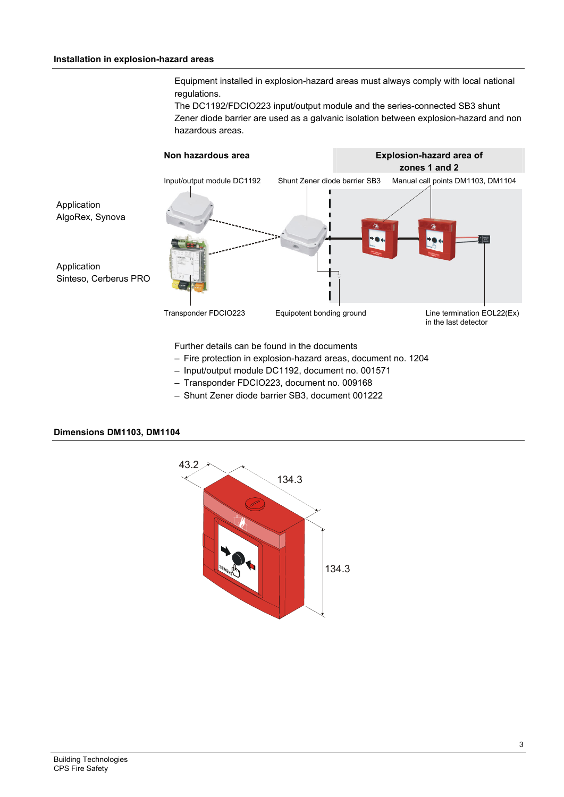#### **Installation in explosion-hazard areas**

Equipment installed in explosion-hazard areas must always comply with local national regulations.

The DC1192/FDCIO223 input/output module and the series-connected SB3 shunt Zener diode barrier are used as a galvanic isolation between explosion-hazard and non hazardous areas.



- Fire protection in explosion-hazard areas, document no. 1204
- Input/output module DC1192, document no. 001571
- Transponder FDCIO223, document no. 009168
- Shunt Zener diode barrier SB3, document 001222

### **Dimensions DM1103, DM1104**